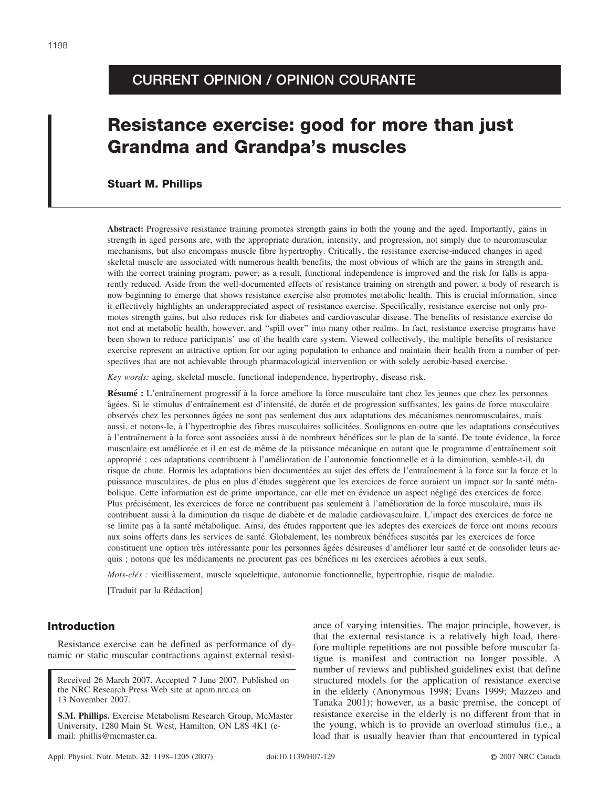# **CURRENT OPINION / OPINION COURANTE**

# **Resistance exercise: good for more than just Grandma and Grandpa's muscles**

#### **Stuart M. Phillips**

**Abstract:** Progressive resistance training promotes strength gains in both the young and the aged. Importantly, gains in strength in aged persons are, with the appropriate duration, intensity, and progression, not simply due to neuromuscular mechanisms, but also encompass muscle fibre hypertrophy. Critically, the resistance exercise-induced changes in aged skeletal muscle are associated with numerous health benefits, the most obvious of which are the gains in strength and, with the correct training program, power; as a result, functional independence is improved and the risk for falls is apparently reduced. Aside from the well-documented effects of resistance training on strength and power, a body of research is now beginning to emerge that shows resistance exercise also promotes metabolic health. This is crucial information, since it effectively highlights an underappreciated aspect of resistance exercise. Specifically, resistance exercise not only promotes strength gains, but also reduces risk for diabetes and cardiovascular disease. The benefits of resistance exercise do not end at metabolic health, however, and ''spill over'' into many other realms. In fact, resistance exercise programs have been shown to reduce participants' use of the health care system. Viewed collectively, the multiple benefits of resistance exercise represent an attractive option for our aging population to enhance and maintain their health from a number of perspectives that are not achievable through pharmacological intervention or with solely aerobic-based exercise.

*Key words:* aging, skeletal muscle, functional independence, hypertrophy, disease risk.

Résumé : L'entraînement progressif à la force améliore la force musculaire tant chez les jeunes que chez les personnes âgées. Si le stimulus d'entraînement est d'intensité, de durée et de progression suffisantes, les gains de force musculaire observés chez les personnes âgées ne sont pas seulement dus aux adaptations des mécanismes neuromusculaires, mais aussi, et notons-le, à l'hypertrophie des fibres musculaires sollicitées. Soulignons en outre que les adaptations consécutives à l'entraînement à la force sont associées aussi à de nombreux bénéfices sur le plan de la santé. De toute évidence, la force musculaire est améliorée et il en est de même de la puissance mécanique en autant que le programme d'entraînement soit approprié ; ces adaptations contribuent à l'amélioration de l'autonomie fonctionnelle et à la diminution, semble-t-il, du risque de chute. Hormis les adaptations bien documentées au sujet des effets de l'entraînement à la force sur la force et la puissance musculaires, de plus en plus d'études suggèrent que les exercices de force auraient un impact sur la santé métabolique. Cette information est de prime importance, car elle met en évidence un aspect négligé des exercices de force. Plus précisément, les exercices de force ne contribuent pas seulement à l'amélioration de la force musculaire, mais ils contribuent aussi à la diminution du risque de diabète et de maladie cardiovasculaire. L'impact des exercices de force ne se limite pas à la santé métabolique. Ainsi, des études rapportent que les adeptes des exercices de force ont moins recours aux soins offerts dans les services de santé. Globalement, les nombreux bénéfices suscités par les exercices de force constituent une option très intéressante pour les personnes âgées désireuses d'améliorer leur santé et de consolider leurs acquis ; notons que les médicaments ne procurent pas ces bénéfices ni les exercices aérobies à eux seuls.

*Mots-cle´s :* vieillissement, muscle squelettique, autonomie fonctionnelle, hypertrophie, risque de maladie.

[Traduit par la Rédaction]

#### **Introduction**

Resistance exercise can be defined as performance of dynamic or static muscular contractions against external resistance of varying intensities. The major principle, however, is that the external resistance is a relatively high load, therefore multiple repetitions are not possible before muscular fatigue is manifest and contraction no longer possible. A number of reviews and published guidelines exist that define structured models for the application of resistance exercise in the elderly (Anonymous 1998; Evans 1999; Mazzeo and Tanaka 2001); however, as a basic premise, the concept of resistance exercise in the elderly is no different from that in the young, which is to provide an overload stimulus (i.e., a load that is usually heavier than that encountered in typical

Received 26 March 2007. Accepted 7 June 2007. Published on the NRC Research Press Web site at apnm.nrc.ca on 13 November 2007.

**S.M. Phillips.** Exercise Metabolism Research Group, McMaster University, 1280 Main St. West, Hamilton, ON L8S 4K1 (email: phillis@mcmaster.ca.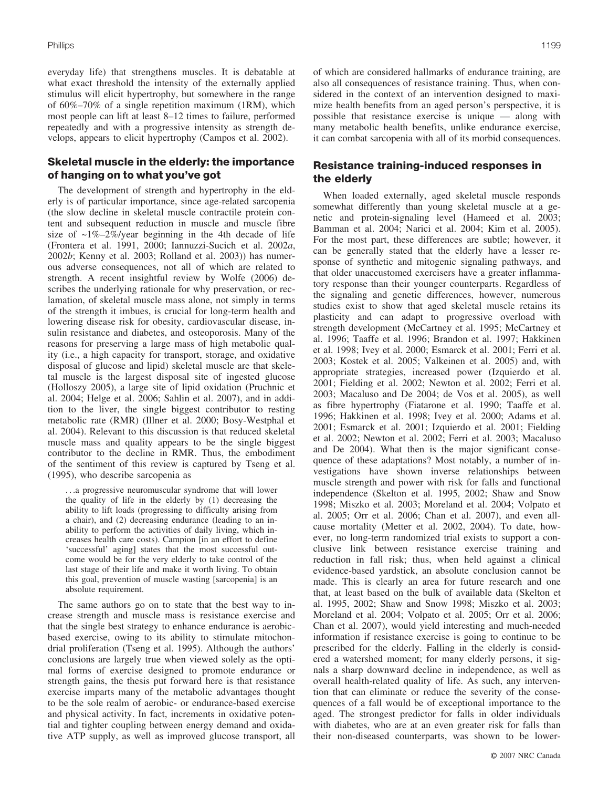everyday life) that strengthens muscles. It is debatable at what exact threshold the intensity of the externally applied stimulus will elicit hypertrophy, but somewhere in the range of 60%–70% of a single repetition maximum (1RM), which most people can lift at least 8–12 times to failure, performed repeatedly and with a progressive intensity as strength develops, appears to elicit hypertrophy (Campos et al. 2002).

# **Skeletal muscle in the elderly: the importance of hanging on to what you've got**

The development of strength and hypertrophy in the elderly is of particular importance, since age-related sarcopenia (the slow decline in skeletal muscle contractile protein content and subsequent reduction in muscle and muscle fibre size of  $\sim$ 1%–2%/year beginning in the 4th decade of life (Frontera et al. 1991, 2000; Iannuzzi-Sucich et al. 2002*a*, 2002*b*; Kenny et al. 2003; Rolland et al. 2003)) has numerous adverse consequences, not all of which are related to strength. A recent insightful review by Wolfe (2006) describes the underlying rationale for why preservation, or reclamation, of skeletal muscle mass alone, not simply in terms of the strength it imbues, is crucial for long-term health and lowering disease risk for obesity, cardiovascular disease, insulin resistance and diabetes, and osteoporosis. Many of the reasons for preserving a large mass of high metabolic quality (i.e., a high capacity for transport, storage, and oxidative disposal of glucose and lipid) skeletal muscle are that skeletal muscle is the largest disposal site of ingested glucose (Holloszy 2005), a large site of lipid oxidation (Pruchnic et al. 2004; Helge et al. 2006; Sahlin et al. 2007), and in addition to the liver, the single biggest contributor to resting metabolic rate (RMR) (Illner et al. 2000; Bosy-Westphal et al. 2004). Relevant to this discussion is that reduced skeletal muscle mass and quality appears to be the single biggest contributor to the decline in RMR. Thus, the embodiment of the sentiment of this review is captured by Tseng et al. (1995), who describe sarcopenia as

...a progressive neuromuscular syndrome that will lower the quality of life in the elderly by (1) decreasing the ability to lift loads (progressing to difficulty arising from a chair), and (2) decreasing endurance (leading to an inability to perform the activities of daily living, which increases health care costs). Campion [in an effort to define 'successful' aging] states that the most successful outcome would be for the very elderly to take control of the last stage of their life and make it worth living. To obtain this goal, prevention of muscle wasting [sarcopenia] is an absolute requirement.

The same authors go on to state that the best way to increase strength and muscle mass is resistance exercise and that the single best strategy to enhance endurance is aerobicbased exercise, owing to its ability to stimulate mitochondrial proliferation (Tseng et al. 1995). Although the authors' conclusions are largely true when viewed solely as the optimal forms of exercise designed to promote endurance or strength gains, the thesis put forward here is that resistance exercise imparts many of the metabolic advantages thought to be the sole realm of aerobic- or endurance-based exercise and physical activity. In fact, increments in oxidative potential and tighter coupling between energy demand and oxidative ATP supply, as well as improved glucose transport, all of which are considered hallmarks of endurance training, are also all consequences of resistance training. Thus, when considered in the context of an intervention designed to maximize health benefits from an aged person's perspective, it is possible that resistance exercise is unique — along with many metabolic health benefits, unlike endurance exercise, it can combat sarcopenia with all of its morbid consequences.

# **Resistance training-induced responses in the elderly**

When loaded externally, aged skeletal muscle responds somewhat differently than young skeletal muscle at a genetic and protein-signaling level (Hameed et al. 2003; Bamman et al. 2004; Narici et al. 2004; Kim et al. 2005). For the most part, these differences are subtle; however, it can be generally stated that the elderly have a lesser response of synthetic and mitogenic signaling pathways, and that older unaccustomed exercisers have a greater inflammatory response than their younger counterparts. Regardless of the signaling and genetic differences, however, numerous studies exist to show that aged skeletal muscle retains its plasticity and can adapt to progressive overload with strength development (McCartney et al. 1995; McCartney et al. 1996; Taaffe et al. 1996; Brandon et al. 1997; Hakkinen et al. 1998; Ivey et al. 2000; Esmarck et al. 2001; Ferri et al. 2003; Kostek et al. 2005; Valkeinen et al. 2005) and, with appropriate strategies, increased power (Izquierdo et al. 2001; Fielding et al. 2002; Newton et al. 2002; Ferri et al. 2003; Macaluso and De 2004; de Vos et al. 2005), as well as fibre hypertrophy (Fiatarone et al. 1990; Taaffe et al. 1996; Hakkinen et al. 1998; Ivey et al. 2000; Adams et al. 2001; Esmarck et al. 2001; Izquierdo et al. 2001; Fielding et al. 2002; Newton et al. 2002; Ferri et al. 2003; Macaluso and De 2004). What then is the major significant consequence of these adaptations? Most notably, a number of investigations have shown inverse relationships between muscle strength and power with risk for falls and functional independence (Skelton et al. 1995, 2002; Shaw and Snow 1998; Miszko et al. 2003; Moreland et al. 2004; Volpato et al. 2005; Orr et al. 2006; Chan et al. 2007), and even allcause mortality (Metter et al. 2002, 2004). To date, however, no long-term randomized trial exists to support a conclusive link between resistance exercise training and reduction in fall risk; thus, when held against a clinical evidence-based yardstick, an absolute conclusion cannot be made. This is clearly an area for future research and one that, at least based on the bulk of available data (Skelton et al. 1995, 2002; Shaw and Snow 1998; Miszko et al. 2003; Moreland et al. 2004; Volpato et al. 2005; Orr et al. 2006; Chan et al. 2007), would yield interesting and much-needed information if resistance exercise is going to continue to be prescribed for the elderly. Falling in the elderly is considered a watershed moment; for many elderly persons, it signals a sharp downward decline in independence, as well as overall health-related quality of life. As such, any intervention that can eliminate or reduce the severity of the consequences of a fall would be of exceptional importance to the aged. The strongest predictor for falls in older individuals with diabetes, who are at an even greater risk for falls than their non-diseased counterparts, was shown to be lower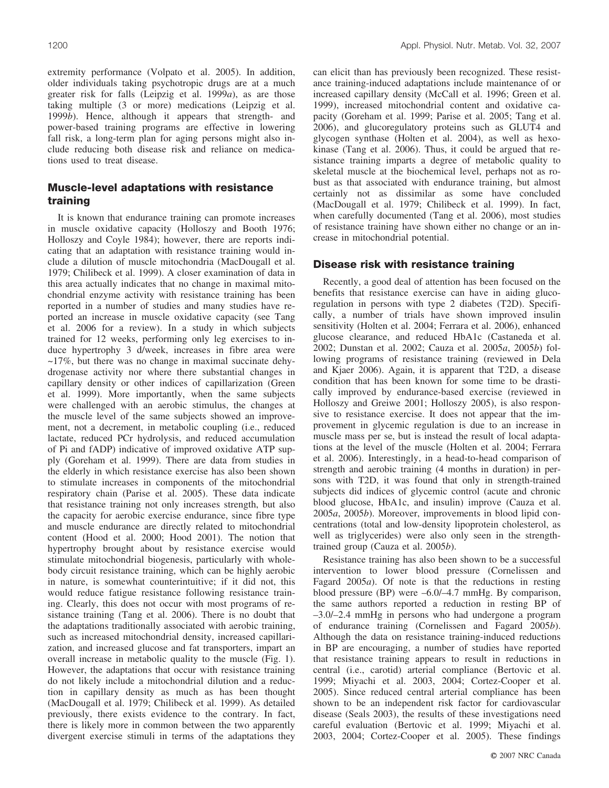extremity performance (Volpato et al. 2005). In addition, older individuals taking psychotropic drugs are at a much greater risk for falls (Leipzig et al. 1999*a*), as are those taking multiple (3 or more) medications (Leipzig et al. 1999*b*). Hence, although it appears that strength- and power-based training programs are effective in lowering fall risk, a long-term plan for aging persons might also include reducing both disease risk and reliance on medications used to treat disease.

# **Muscle-level adaptations with resistance training**

It is known that endurance training can promote increases in muscle oxidative capacity (Holloszy and Booth 1976; Holloszy and Coyle 1984); however, there are reports indicating that an adaptation with resistance training would include a dilution of muscle mitochondria (MacDougall et al. 1979; Chilibeck et al. 1999). A closer examination of data in this area actually indicates that no change in maximal mitochondrial enzyme activity with resistance training has been reported in a number of studies and many studies have reported an increase in muscle oxidative capacity (see Tang et al. 2006 for a review). In a study in which subjects trained for 12 weeks, performing only leg exercises to induce hypertrophy 3 d/week, increases in fibre area were  $~17\%$ , but there was no change in maximal succinate dehydrogenase activity nor where there substantial changes in capillary density or other indices of capillarization (Green et al. 1999). More importantly, when the same subjects were challenged with an aerobic stimulus, the changes at the muscle level of the same subjects showed an improvement, not a decrement, in metabolic coupling (i.e., reduced lactate, reduced PCr hydrolysis, and reduced accumulation of Pi and fADP) indicative of improved oxidative ATP supply (Goreham et al. 1999). There are data from studies in the elderly in which resistance exercise has also been shown to stimulate increases in components of the mitochondrial respiratory chain (Parise et al. 2005). These data indicate that resistance training not only increases strength, but also the capacity for aerobic exercise endurance, since fibre type and muscle endurance are directly related to mitochondrial content (Hood et al. 2000; Hood 2001). The notion that hypertrophy brought about by resistance exercise would stimulate mitochondrial biogenesis, particularly with wholebody circuit resistance training, which can be highly aerobic in nature, is somewhat counterintuitive; if it did not, this would reduce fatigue resistance following resistance training. Clearly, this does not occur with most programs of resistance training (Tang et al. 2006). There is no doubt that the adaptations traditionally associated with aerobic training, such as increased mitochondrial density, increased capillarization, and increased glucose and fat transporters, impart an overall increase in metabolic quality to the muscle (Fig. 1). However, the adaptations that occur with resistance training do not likely include a mitochondrial dilution and a reduction in capillary density as much as has been thought (MacDougall et al. 1979; Chilibeck et al. 1999). As detailed previously, there exists evidence to the contrary. In fact, there is likely more in common between the two apparently divergent exercise stimuli in terms of the adaptations they

can elicit than has previously been recognized. These resistance training-induced adaptations include maintenance of or increased capillary density (McCall et al. 1996; Green et al. 1999), increased mitochondrial content and oxidative capacity (Goreham et al. 1999; Parise et al. 2005; Tang et al. 2006), and glucoregulatory proteins such as GLUT4 and glycogen synthase (Holten et al. 2004), as well as hexokinase (Tang et al. 2006). Thus, it could be argued that resistance training imparts a degree of metabolic quality to skeletal muscle at the biochemical level, perhaps not as robust as that associated with endurance training, but almost certainly not as dissimilar as some have concluded (MacDougall et al. 1979; Chilibeck et al. 1999). In fact, when carefully documented (Tang et al. 2006), most studies of resistance training have shown either no change or an increase in mitochondrial potential.

# **Disease risk with resistance training**

Recently, a good deal of attention has been focused on the benefits that resistance exercise can have in aiding glucoregulation in persons with type 2 diabetes (T2D). Specifically, a number of trials have shown improved insulin sensitivity (Holten et al. 2004; Ferrara et al. 2006), enhanced glucose clearance, and reduced HbA1c (Castaneda et al. 2002; Dunstan et al. 2002; Cauza et al. 2005*a*, 2005*b*) following programs of resistance training (reviewed in Dela and Kjaer 2006). Again, it is apparent that T2D, a disease condition that has been known for some time to be drastically improved by endurance-based exercise (reviewed in Holloszy and Greiwe 2001; Holloszy 2005), is also responsive to resistance exercise. It does not appear that the improvement in glycemic regulation is due to an increase in muscle mass per se, but is instead the result of local adaptations at the level of the muscle (Holten et al. 2004; Ferrara et al. 2006). Interestingly, in a head-to-head comparison of strength and aerobic training (4 months in duration) in persons with T2D, it was found that only in strength-trained subjects did indices of glycemic control (acute and chronic blood glucose, HbA1c, and insulin) improve (Cauza et al. 2005*a*, 2005*b*). Moreover, improvements in blood lipid concentrations (total and low-density lipoprotein cholesterol, as well as triglycerides) were also only seen in the strengthtrained group (Cauza et al. 2005*b*).

Resistance training has also been shown to be a successful intervention to lower blood pressure (Cornelissen and Fagard 2005*a*). Of note is that the reductions in resting blood pressure (BP) were –6.0/–4.7 mmHg. By comparison, the same authors reported a reduction in resting BP of –3.0/–2.4 mmHg in persons who had undergone a program of endurance training (Cornelissen and Fagard 2005*b*). Although the data on resistance training-induced reductions in BP are encouraging, a number of studies have reported that resistance training appears to result in reductions in central (i.e., carotid) arterial compliance (Bertovic et al. 1999; Miyachi et al. 2003, 2004; Cortez-Cooper et al. 2005). Since reduced central arterial compliance has been shown to be an independent risk factor for cardiovascular disease (Seals 2003), the results of these investigations need careful evaluation (Bertovic et al. 1999; Miyachi et al. 2003, 2004; Cortez-Cooper et al. 2005). These findings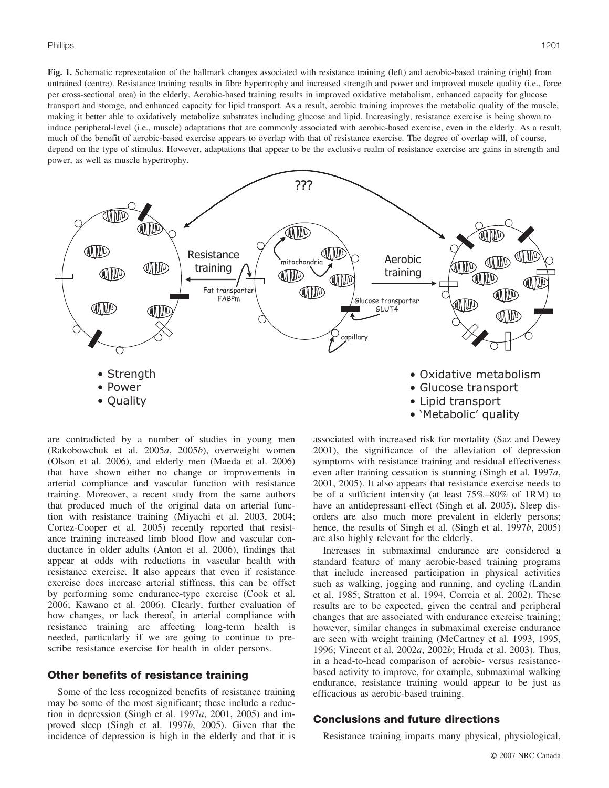Phillips 1201

**Fig. 1.** Schematic representation of the hallmark changes associated with resistance training (left) and aerobic-based training (right) from untrained (centre). Resistance training results in fibre hypertrophy and increased strength and power and improved muscle quality (i.e., force per cross-sectional area) in the elderly. Aerobic-based training results in improved oxidative metabolism, enhanced capacity for glucose transport and storage, and enhanced capacity for lipid transport. As a result, aerobic training improves the metabolic quality of the muscle, making it better able to oxidatively metabolize substrates including glucose and lipid. Increasingly, resistance exercise is being shown to induce peripheral-level (i.e., muscle) adaptations that are commonly associated with aerobic-based exercise, even in the elderly. As a result, much of the benefit of aerobic-based exercise appears to overlap with that of resistance exercise. The degree of overlap will, of course, depend on the type of stimulus. However, adaptations that appear to be the exclusive realm of resistance exercise are gains in strength and power, as well as muscle hypertrophy.



are contradicted by a number of studies in young men (Rakobowchuk et al. 2005*a*, 2005*b*), overweight women (Olson et al. 2006), and elderly men (Maeda et al. 2006) that have shown either no change or improvements in arterial compliance and vascular function with resistance training. Moreover, a recent study from the same authors that produced much of the original data on arterial function with resistance training (Miyachi et al. 2003, 2004; Cortez-Cooper et al. 2005) recently reported that resistance training increased limb blood flow and vascular conductance in older adults (Anton et al. 2006), findings that appear at odds with reductions in vascular health with resistance exercise. It also appears that even if resistance exercise does increase arterial stiffness, this can be offset by performing some endurance-type exercise (Cook et al. 2006; Kawano et al. 2006). Clearly, further evaluation of how changes, or lack thereof, in arterial compliance with resistance training are affecting long-term health is needed, particularly if we are going to continue to prescribe resistance exercise for health in older persons.

# **Other benefits of resistance training**

Some of the less recognized benefits of resistance training may be some of the most significant; these include a reduction in depression (Singh et al. 1997*a*, 2001, 2005) and improved sleep (Singh et al. 1997*b*, 2005). Given that the incidence of depression is high in the elderly and that it is associated with increased risk for mortality (Saz and Dewey 2001), the significance of the alleviation of depression symptoms with resistance training and residual effectiveness even after training cessation is stunning (Singh et al. 1997*a*, 2001, 2005). It also appears that resistance exercise needs to be of a sufficient intensity (at least 75%–80% of 1RM) to have an antidepressant effect (Singh et al. 2005). Sleep disorders are also much more prevalent in elderly persons; hence, the results of Singh et al. (Singh et al. 1997*b*, 2005) are also highly relevant for the elderly.

Increases in submaximal endurance are considered a standard feature of many aerobic-based training programs that include increased participation in physical activities such as walking, jogging and running, and cycling (Landin et al. 1985; Stratton et al. 1994, Correia et al. 2002). These results are to be expected, given the central and peripheral changes that are associated with endurance exercise training; however, similar changes in submaximal exercise endurance are seen with weight training (McCartney et al. 1993, 1995, 1996; Vincent et al. 2002*a*, 2002*b*; Hruda et al. 2003). Thus, in a head-to-head comparison of aerobic- versus resistancebased activity to improve, for example, submaximal walking endurance, resistance training would appear to be just as efficacious as aerobic-based training.

# **Conclusions and future directions**

Resistance training imparts many physical, physiological,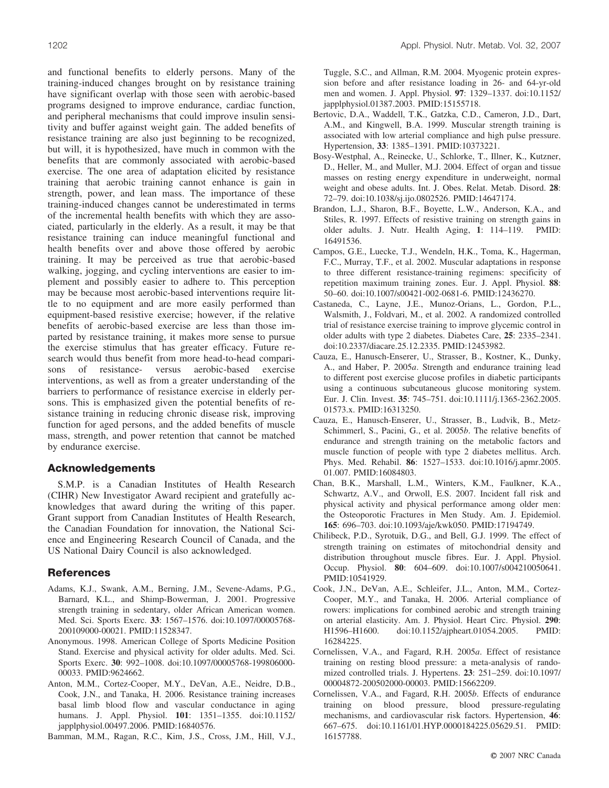and functional benefits to elderly persons. Many of the training-induced changes brought on by resistance training have significant overlap with those seen with aerobic-based programs designed to improve endurance, cardiac function, and peripheral mechanisms that could improve insulin sensitivity and buffer against weight gain. The added benefits of resistance training are also just beginning to be recognized, but will, it is hypothesized, have much in common with the benefits that are commonly associated with aerobic-based exercise. The one area of adaptation elicited by resistance training that aerobic training cannot enhance is gain in strength, power, and lean mass. The importance of these training-induced changes cannot be underestimated in terms of the incremental health benefits with which they are associated, particularly in the elderly. As a result, it may be that resistance training can induce meaningful functional and health benefits over and above those offered by aerobic training. It may be perceived as true that aerobic-based walking, jogging, and cycling interventions are easier to implement and possibly easier to adhere to. This perception may be because most aerobic-based interventions require little to no equipment and are more easily performed than equipment-based resistive exercise; however, if the relative benefits of aerobic-based exercise are less than those imparted by resistance training, it makes more sense to pursue the exercise stimulus that has greater efficacy. Future research would thus benefit from more head-to-head comparisons of resistance- versus aerobic-based exercise interventions, as well as from a greater understanding of the barriers to performance of resistance exercise in elderly persons. This is emphasized given the potential benefits of resistance training in reducing chronic disease risk, improving function for aged persons, and the added benefits of muscle mass, strength, and power retention that cannot be matched by endurance exercise.

# **Acknowledgements**

S.M.P. is a Canadian Institutes of Health Research (CIHR) New Investigator Award recipient and gratefully acknowledges that award during the writing of this paper. Grant support from Canadian Institutes of Health Research, the Canadian Foundation for innovation, the National Science and Engineering Research Council of Canada, and the US National Dairy Council is also acknowledged.

#### **References**

- Adams, K.J., Swank, A.M., Berning, J.M., Sevene-Adams, P.G., Barnard, K.L., and Shimp-Bowerman, J. 2001. Progressive strength training in sedentary, older African American women. Med. Sci. Sports Exerc. **33**: 1567–1576. doi:10.1097/00005768- 200109000-00021. PMID:11528347.
- Anonymous. 1998. American College of Sports Medicine Position Stand. Exercise and physical activity for older adults. Med. Sci. Sports Exerc. **30**: 992–1008. doi:10.1097/00005768-199806000- 00033. PMID:9624662.
- Anton, M.M., Cortez-Cooper, M.Y., DeVan, A.E., Neidre, D.B., Cook, J.N., and Tanaka, H. 2006. Resistance training increases basal limb blood flow and vascular conductance in aging humans. J. Appl. Physiol. **101**: 1351–1355. doi:10.1152/ japplphysiol.00497.2006. PMID:16840576.

Bamman, M.M., Ragan, R.C., Kim, J.S., Cross, J.M., Hill, V.J.,

Tuggle, S.C., and Allman, R.M. 2004. Myogenic protein expression before and after resistance loading in 26- and 64-yr-old men and women. J. Appl. Physiol. **97**: 1329–1337. doi:10.1152/ japplphysiol.01387.2003. PMID:15155718.

- Bertovic, D.A., Waddell, T.K., Gatzka, C.D., Cameron, J.D., Dart, A.M., and Kingwell, B.A. 1999. Muscular strength training is associated with low arterial compliance and high pulse pressure. Hypertension, **33**: 1385–1391. PMID:10373221.
- Bosy-Westphal, A., Reinecke, U., Schlorke, T., Illner, K., Kutzner, D., Heller, M., and Muller, M.J. 2004. Effect of organ and tissue masses on resting energy expenditure in underweight, normal weight and obese adults. Int. J. Obes. Relat. Metab. Disord. **28**: 72–79. doi:10.1038/sj.ijo.0802526. PMID:14647174.
- Brandon, L.J., Sharon, B.F., Boyette, L.W., Anderson, K.A., and Stiles, R. 1997. Effects of resistive training on strength gains in older adults. J. Nutr. Health Aging, **1**: 114–119. PMID: 16491536.
- Campos, G.E., Luecke, T.J., Wendeln, H.K., Toma, K., Hagerman, F.C., Murray, T.F., et al. 2002. Muscular adaptations in response to three different resistance-training regimens: specificity of repetition maximum training zones. Eur. J. Appl. Physiol. **88**: 50–60. doi:10.1007/s00421-002-0681-6. PMID:12436270.
- Castaneda, C., Layne, J.E., Munoz-Orians, L., Gordon, P.L., Walsmith, J., Foldvari, M., et al. 2002. A randomized controlled trial of resistance exercise training to improve glycemic control in older adults with type 2 diabetes. Diabetes Care, **25**: 2335–2341. doi:10.2337/diacare.25.12.2335. PMID:12453982.
- Cauza, E., Hanusch-Enserer, U., Strasser, B., Kostner, K., Dunky, A., and Haber, P. 2005*a*. Strength and endurance training lead to different post exercise glucose profiles in diabetic participants using a continuous subcutaneous glucose monitoring system. Eur. J. Clin. Invest. **35**: 745–751. doi:10.1111/j.1365-2362.2005. 01573.x. PMID:16313250.
- Cauza, E., Hanusch-Enserer, U., Strasser, B., Ludvik, B., Metz-Schimmerl, S., Pacini, G., et al. 2005*b*. The relative benefits of endurance and strength training on the metabolic factors and muscle function of people with type 2 diabetes mellitus. Arch. Phys. Med. Rehabil. **86**: 1527–1533. doi:10.1016/j.apmr.2005. 01.007. PMID:16084803.
- Chan, B.K., Marshall, L.M., Winters, K.M., Faulkner, K.A., Schwartz, A.V., and Orwoll, E.S. 2007. Incident fall risk and physical activity and physical performance among older men: the Osteoporotic Fractures in Men Study. Am. J. Epidemiol. **165**: 696–703. doi:10.1093/aje/kwk050. PMID:17194749.
- Chilibeck, P.D., Syrotuik, D.G., and Bell, G.J. 1999. The effect of strength training on estimates of mitochondrial density and distribution throughout muscle fibres. Eur. J. Appl. Physiol. Occup. Physiol. **80**: 604–609. doi:10.1007/s004210050641. PMID:10541929.
- Cook, J.N., DeVan, A.E., Schleifer, J.L., Anton, M.M., Cortez-Cooper, M.Y., and Tanaka, H. 2006. Arterial compliance of rowers: implications for combined aerobic and strength training on arterial elasticity. Am. J. Physiol. Heart Circ. Physiol. **290**: H1596–H1600. doi:10.1152/ajpheart.01054.2005. PMID: 16284225.
- Cornelissen, V.A., and Fagard, R.H. 2005*a*. Effect of resistance training on resting blood pressure: a meta-analysis of randomized controlled trials. J. Hypertens. **23**: 251–259. doi:10.1097/ 00004872-200502000-00003. PMID:15662209.
- Cornelissen, V.A., and Fagard, R.H. 2005*b*. Effects of endurance training on blood pressure, blood pressure-regulating mechanisms, and cardiovascular risk factors. Hypertension, **46**: 667–675. doi:10.1161/01.HYP.0000184225.05629.51. PMID: 16157788.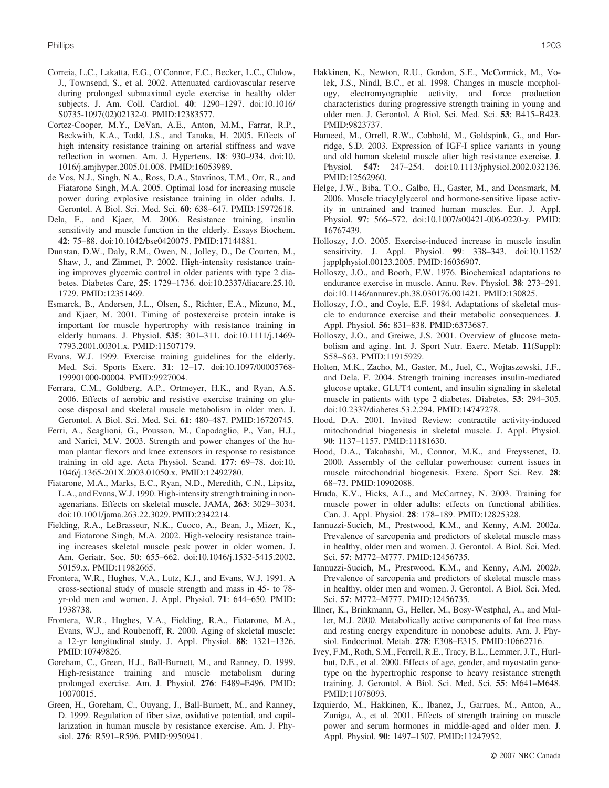- Correia, L.C., Lakatta, E.G., O'Connor, F.C., Becker, L.C., Clulow, J., Townsend, S., et al. 2002. Attenuated cardiovascular reserve during prolonged submaximal cycle exercise in healthy older subjects. J. Am. Coll. Cardiol. **40**: 1290–1297. doi:10.1016/ S0735-1097(02)02132-0. PMID:12383577.
- Cortez-Cooper, M.Y., DeVan, A.E., Anton, M.M., Farrar, R.P., Beckwith, K.A., Todd, J.S., and Tanaka, H. 2005. Effects of high intensity resistance training on arterial stiffness and wave reflection in women. Am. J. Hypertens. **18**: 930–934. doi:10. 1016/j.amjhyper.2005.01.008. PMID:16053989.
- de Vos, N.J., Singh, N.A., Ross, D.A., Stavrinos, T.M., Orr, R., and Fiatarone Singh, M.A. 2005. Optimal load for increasing muscle power during explosive resistance training in older adults. J. Gerontol. A Biol. Sci. Med. Sci. **60**: 638–647. PMID:15972618.
- Dela, F., and Kjaer, M. 2006. Resistance training, insulin sensitivity and muscle function in the elderly. Essays Biochem. **42**: 75–88. doi:10.1042/bse0420075. PMID:17144881.
- Dunstan, D.W., Daly, R.M., Owen, N., Jolley, D., De Courten, M., Shaw, J., and Zimmet, P. 2002. High-intensity resistance training improves glycemic control in older patients with type 2 diabetes. Diabetes Care, **25**: 1729–1736. doi:10.2337/diacare.25.10. 1729. PMID:12351469.
- Esmarck, B., Andersen, J.L., Olsen, S., Richter, E.A., Mizuno, M., and Kjaer, M. 2001. Timing of postexercise protein intake is important for muscle hypertrophy with resistance training in elderly humans. J. Physiol. **535**: 301–311. doi:10.1111/j.1469- 7793.2001.00301.x. PMID:11507179.
- Evans, W.J. 1999. Exercise training guidelines for the elderly. Med. Sci. Sports Exerc. **31**: 12–17. doi:10.1097/00005768- 199901000-00004. PMID:9927004.
- Ferrara, C.M., Goldberg, A.P., Ortmeyer, H.K., and Ryan, A.S. 2006. Effects of aerobic and resistive exercise training on glucose disposal and skeletal muscle metabolism in older men. J. Gerontol. A Biol. Sci. Med. Sci. **61**: 480–487. PMID:16720745.
- Ferri, A., Scaglioni, G., Pousson, M., Capodaglio, P., Van, H.J., and Narici, M.V. 2003. Strength and power changes of the human plantar flexors and knee extensors in response to resistance training in old age. Acta Physiol. Scand. **177**: 69–78. doi:10. 1046/j.1365-201X.2003.01050.x. PMID:12492780.
- Fiatarone, M.A., Marks, E.C., Ryan, N.D., Meredith, C.N., Lipsitz, L.A., and Evans, W.J. 1990. High-intensity strength training in nonagenarians. Effects on skeletal muscle. JAMA, **263**: 3029–3034. doi:10.1001/jama.263.22.3029. PMID:2342214.
- Fielding, R.A., LeBrasseur, N.K., Cuoco, A., Bean, J., Mizer, K., and Fiatarone Singh, M.A. 2002. High-velocity resistance training increases skeletal muscle peak power in older women. J. Am. Geriatr. Soc. **50**: 655–662. doi:10.1046/j.1532-5415.2002. 50159.x. PMID:11982665.
- Frontera, W.R., Hughes, V.A., Lutz, K.J., and Evans, W.J. 1991. A cross-sectional study of muscle strength and mass in 45- to 78 yr-old men and women. J. Appl. Physiol. **71**: 644–650. PMID: 1938738.
- Frontera, W.R., Hughes, V.A., Fielding, R.A., Fiatarone, M.A., Evans, W.J., and Roubenoff, R. 2000. Aging of skeletal muscle: a 12-yr longitudinal study. J. Appl. Physiol. **88**: 1321–1326. PMID:10749826.
- Goreham, C., Green, H.J., Ball-Burnett, M., and Ranney, D. 1999. High-resistance training and muscle metabolism during prolonged exercise. Am. J. Physiol. **276**: E489–E496. PMID: 10070015.
- Green, H., Goreham, C., Ouyang, J., Ball-Burnett, M., and Ranney, D. 1999. Regulation of fiber size, oxidative potential, and capillarization in human muscle by resistance exercise. Am. J. Physiol. **276**: R591–R596. PMID:9950941.
- Hakkinen, K., Newton, R.U., Gordon, S.E., McCormick, M., Volek, J.S., Nindl, B.C., et al. 1998. Changes in muscle morphology, electromyographic activity, and force production characteristics during progressive strength training in young and older men. J. Gerontol. A Biol. Sci. Med. Sci. **53**: B415–B423. PMID:9823737.
- Hameed, M., Orrell, R.W., Cobbold, M., Goldspink, G., and Harridge, S.D. 2003. Expression of IGF-I splice variants in young and old human skeletal muscle after high resistance exercise. J. Physiol. **547**: 247–254. doi:10.1113/jphysiol.2002.032136. PMID:12562960.
- Helge, J.W., Biba, T.O., Galbo, H., Gaster, M., and Donsmark, M. 2006. Muscle triacylglycerol and hormone-sensitive lipase activity in untrained and trained human muscles. Eur. J. Appl. Physiol. **97**: 566–572. doi:10.1007/s00421-006-0220-y. PMID: 16767439.
- Holloszy, J.O. 2005. Exercise-induced increase in muscle insulin sensitivity. J. Appl. Physiol. **99**: 338–343. doi:10.1152/ japplphysiol.00123.2005. PMID:16036907.
- Holloszy, J.O., and Booth, F.W. 1976. Biochemical adaptations to endurance exercise in muscle. Annu. Rev. Physiol. **38**: 273–291. doi:10.1146/annurev.ph.38.030176.001421. PMID:130825.
- Holloszy, J.O., and Coyle, E.F. 1984. Adaptations of skeletal muscle to endurance exercise and their metabolic consequences. J. Appl. Physiol. **56**: 831–838. PMID:6373687.
- Holloszy, J.O., and Greiwe, J.S. 2001. Overview of glucose metabolism and aging. Int. J. Sport Nutr. Exerc. Metab. **11**(Suppl): S58–S63. PMID:11915929.
- Holten, M.K., Zacho, M., Gaster, M., Juel, C., Wojtaszewski, J.F., and Dela, F. 2004. Strength training increases insulin-mediated glucose uptake, GLUT4 content, and insulin signaling in skeletal muscle in patients with type 2 diabetes. Diabetes, **53**: 294–305. doi:10.2337/diabetes.53.2.294. PMID:14747278.
- Hood, D.A. 2001. Invited Review: contractile activity-induced mitochondrial biogenesis in skeletal muscle. J. Appl. Physiol. **90**: 1137–1157. PMID:11181630.
- Hood, D.A., Takahashi, M., Connor, M.K., and Freyssenet, D. 2000. Assembly of the cellular powerhouse: current issues in muscle mitochondrial biogenesis. Exerc. Sport Sci. Rev. **28**: 68–73. PMID:10902088.
- Hruda, K.V., Hicks, A.L., and McCartney, N. 2003. Training for muscle power in older adults: effects on functional abilities. Can. J. Appl. Physiol. **28**: 178–189. PMID:12825328.
- Iannuzzi-Sucich, M., Prestwood, K.M., and Kenny, A.M. 2002*a*. Prevalence of sarcopenia and predictors of skeletal muscle mass in healthy, older men and women. J. Gerontol. A Biol. Sci. Med. Sci. **57**: M772–M777. PMID:12456735.
- Iannuzzi-Sucich, M., Prestwood, K.M., and Kenny, A.M. 2002*b*. Prevalence of sarcopenia and predictors of skeletal muscle mass in healthy, older men and women. J. Gerontol. A Biol. Sci. Med. Sci. **57**: M772–M777. PMID:12456735.
- Illner, K., Brinkmann, G., Heller, M., Bosy-Westphal, A., and Muller, M.J. 2000. Metabolically active components of fat free mass and resting energy expenditure in nonobese adults. Am. J. Physiol. Endocrinol. Metab. **278**: E308–E315. PMID:10662716.
- Ivey, F.M., Roth, S.M., Ferrell, R.E., Tracy, B.L., Lemmer, J.T., Hurlbut, D.E., et al. 2000. Effects of age, gender, and myostatin genotype on the hypertrophic response to heavy resistance strength training. J. Gerontol. A Biol. Sci. Med. Sci. **55**: M641–M648. PMID:11078093.
- Izquierdo, M., Hakkinen, K., Ibanez, J., Garrues, M., Anton, A., Zuniga, A., et al. 2001. Effects of strength training on muscle power and serum hormones in middle-aged and older men. J. Appl. Physiol. **90**: 1497–1507. PMID:11247952.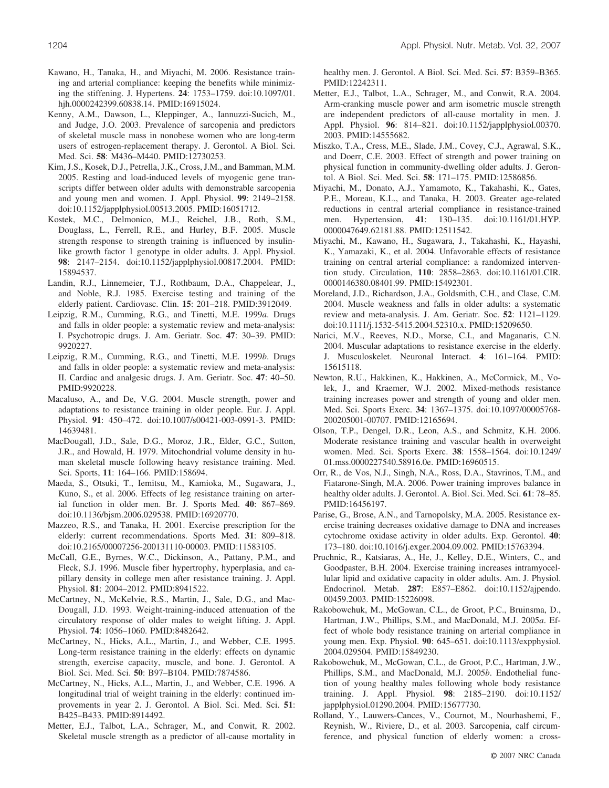- Kawano, H., Tanaka, H., and Miyachi, M. 2006. Resistance training and arterial compliance: keeping the benefits while minimizing the stiffening. J. Hypertens. **24**: 1753–1759. doi:10.1097/01. hjh.0000242399.60838.14. PMID:16915024.
- Kenny, A.M., Dawson, L., Kleppinger, A., Iannuzzi-Sucich, M., and Judge, J.O. 2003. Prevalence of sarcopenia and predictors of skeletal muscle mass in nonobese women who are long-term users of estrogen-replacement therapy. J. Gerontol. A Biol. Sci. Med. Sci. **58**: M436–M440. PMID:12730253.
- Kim, J.S., Kosek, D.J., Petrella, J.K., Cross, J.M., and Bamman, M.M. 2005. Resting and load-induced levels of myogenic gene transcripts differ between older adults with demonstrable sarcopenia and young men and women. J. Appl. Physiol. **99**: 2149–2158. doi:10.1152/japplphysiol.00513.2005. PMID:16051712.
- Kostek, M.C., Delmonico, M.J., Reichel, J.B., Roth, S.M., Douglass, L., Ferrell, R.E., and Hurley, B.F. 2005. Muscle strength response to strength training is influenced by insulinlike growth factor 1 genotype in older adults. J. Appl. Physiol. **98**: 2147–2154. doi:10.1152/japplphysiol.00817.2004. PMID: 15894537.
- Landin, R.J., Linnemeier, T.J., Rothbaum, D.A., Chappelear, J., and Noble, R.J. 1985. Exercise testing and training of the elderly patient. Cardiovasc. Clin. **15**: 201–218. PMID:3912049.
- Leipzig, R.M., Cumming, R.G., and Tinetti, M.E. 1999*a*. Drugs and falls in older people: a systematic review and meta-analysis: I. Psychotropic drugs. J. Am. Geriatr. Soc. **47**: 30–39. PMID: 9920227.
- Leipzig, R.M., Cumming, R.G., and Tinetti, M.E. 1999*b*. Drugs and falls in older people: a systematic review and meta-analysis: II. Cardiac and analgesic drugs. J. Am. Geriatr. Soc. **47**: 40–50. PMID:9920228.
- Macaluso, A., and De, V.G. 2004. Muscle strength, power and adaptations to resistance training in older people. Eur. J. Appl. Physiol. **91**: 450–472. doi:10.1007/s00421-003-0991-3. PMID: 14639481.
- MacDougall, J.D., Sale, D.G., Moroz, J.R., Elder, G.C., Sutton, J.R., and Howald, H. 1979. Mitochondrial volume density in human skeletal muscle following heavy resistance training. Med. Sci. Sports, **11**: 164–166. PMID:158694.
- Maeda, S., Otsuki, T., Iemitsu, M., Kamioka, M., Sugawara, J., Kuno, S., et al. 2006. Effects of leg resistance training on arterial function in older men. Br. J. Sports Med. **40**: 867–869. doi:10.1136/bjsm.2006.029538. PMID:16920770.
- Mazzeo, R.S., and Tanaka, H. 2001. Exercise prescription for the elderly: current recommendations. Sports Med. **31**: 809–818. doi:10.2165/00007256-200131110-00003. PMID:11583105.
- McCall, G.E., Byrnes, W.C., Dickinson, A., Pattany, P.M., and Fleck, S.J. 1996. Muscle fiber hypertrophy, hyperplasia, and capillary density in college men after resistance training. J. Appl. Physiol. **81**: 2004–2012. PMID:8941522.
- McCartney, N., McKelvie, R.S., Martin, J., Sale, D.G., and Mac-Dougall, J.D. 1993. Weight-training-induced attenuation of the circulatory response of older males to weight lifting. J. Appl. Physiol. **74**: 1056–1060. PMID:8482642.
- McCartney, N., Hicks, A.L., Martin, J., and Webber, C.E. 1995. Long-term resistance training in the elderly: effects on dynamic strength, exercise capacity, muscle, and bone. J. Gerontol. A Biol. Sci. Med. Sci. **50**: B97–B104. PMID:7874586.
- McCartney, N., Hicks, A.L., Martin, J., and Webber, C.E. 1996. A longitudinal trial of weight training in the elderly: continued improvements in year 2. J. Gerontol. A Biol. Sci. Med. Sci. **51**: B425–B433. PMID:8914492.
- Metter, E.J., Talbot, L.A., Schrager, M., and Conwit, R. 2002. Skeletal muscle strength as a predictor of all-cause mortality in

healthy men. J. Gerontol. A Biol. Sci. Med. Sci. **57**: B359–B365. PMID:12242311.

- Metter, E.J., Talbot, L.A., Schrager, M., and Conwit, R.A. 2004. Arm-cranking muscle power and arm isometric muscle strength are independent predictors of all-cause mortality in men. J. Appl. Physiol. **96**: 814–821. doi:10.1152/japplphysiol.00370. 2003. PMID:14555682.
- Miszko, T.A., Cress, M.E., Slade, J.M., Covey, C.J., Agrawal, S.K., and Doerr, C.E. 2003. Effect of strength and power training on physical function in community-dwelling older adults. J. Gerontol. A Biol. Sci. Med. Sci. **58**: 171–175. PMID:12586856.
- Miyachi, M., Donato, A.J., Yamamoto, K., Takahashi, K., Gates, P.E., Moreau, K.L., and Tanaka, H. 2003. Greater age-related reductions in central arterial compliance in resistance-trained men. Hypertension, **41**: 130–135. doi:10.1161/01.HYP. 0000047649.62181.88. PMID:12511542.
- Miyachi, M., Kawano, H., Sugawara, J., Takahashi, K., Hayashi, K., Yamazaki, K., et al. 2004. Unfavorable effects of resistance training on central arterial compliance: a randomized intervention study. Circulation, **110**: 2858–2863. doi:10.1161/01.CIR. 0000146380.08401.99. PMID:15492301.
- Moreland, J.D., Richardson, J.A., Goldsmith, C.H., and Clase, C.M. 2004. Muscle weakness and falls in older adults: a systematic review and meta-analysis. J. Am. Geriatr. Soc. **52**: 1121–1129. doi:10.1111/j.1532-5415.2004.52310.x. PMID:15209650.
- Narici, M.V., Reeves, N.D., Morse, C.I., and Maganaris, C.N. 2004. Muscular adaptations to resistance exercise in the elderly. J. Musculoskelet. Neuronal Interact. **4**: 161–164. PMID: 15615118.
- Newton, R.U., Hakkinen, K., Hakkinen, A., McCormick, M., Volek, J., and Kraemer, W.J. 2002. Mixed-methods resistance training increases power and strength of young and older men. Med. Sci. Sports Exerc. **34**: 1367–1375. doi:10.1097/00005768- 200205001-00707. PMID:12165694.
- Olson, T.P., Dengel, D.R., Leon, A.S., and Schmitz, K.H. 2006. Moderate resistance training and vascular health in overweight women. Med. Sci. Sports Exerc. **38**: 1558–1564. doi:10.1249/ 01.mss.0000227540.58916.0e. PMID:16960515.
- Orr, R., de Vos, N.J., Singh, N.A., Ross, D.A., Stavrinos, T.M., and Fiatarone-Singh, M.A. 2006. Power training improves balance in healthy older adults. J. Gerontol. A. Biol. Sci. Med. Sci. **61**: 78–85. PMID:16456197.
- Parise, G., Brose, A.N., and Tarnopolsky, M.A. 2005. Resistance exercise training decreases oxidative damage to DNA and increases cytochrome oxidase activity in older adults. Exp. Gerontol. **40**: 173–180. doi:10.1016/j.exger.2004.09.002. PMID:15763394.
- Pruchnic, R., Katsiaras, A., He, J., Kelley, D.E., Winters, C., and Goodpaster, B.H. 2004. Exercise training increases intramyocellular lipid and oxidative capacity in older adults. Am. J. Physiol. Endocrinol. Metab. **287**: E857–E862. doi:10.1152/ajpendo. 00459.2003. PMID:15226098.
- Rakobowchuk, M., McGowan, C.L., de Groot, P.C., Bruinsma, D., Hartman, J.W., Phillips, S.M., and MacDonald, M.J. 2005*a*. Effect of whole body resistance training on arterial compliance in young men. Exp. Physiol. **90**: 645–651. doi:10.1113/expphysiol. 2004.029504. PMID:15849230.
- Rakobowchuk, M., McGowan, C.L., de Groot, P.C., Hartman, J.W., Phillips, S.M., and MacDonald, M.J. 2005*b*. Endothelial function of young healthy males following whole body resistance training. J. Appl. Physiol. **98**: 2185–2190. doi:10.1152/ japplphysiol.01290.2004. PMID:15677730.
- Rolland, Y., Lauwers-Cances, V., Cournot, M., Nourhashemi, F., Reynish, W., Riviere, D., et al. 2003. Sarcopenia, calf circumference, and physical function of elderly women: a cross-